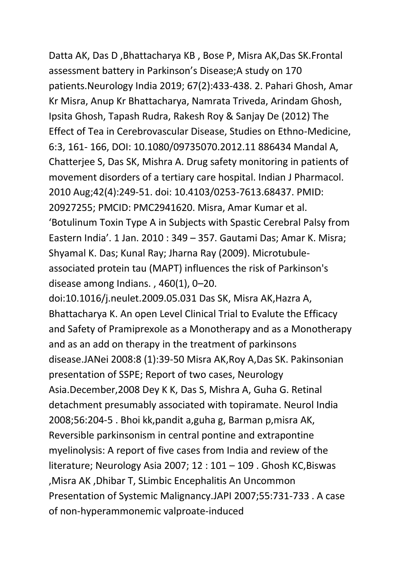Datta AK, Das D ,Bhattacharya KB , Bose P, Misra AK,Das SK.Frontal assessment battery in Parkinson's Disease;A study on 170 patients.Neurology India 2019; 67(2):433-438. 2. Pahari Ghosh, Amar Kr Misra, Anup Kr Bhattacharya, Namrata Triveda, Arindam Ghosh, Ipsita Ghosh, Tapash Rudra, Rakesh Roy & Sanjay De (2012) The Effect of Tea in Cerebrovascular Disease, Studies on Ethno-Medicine, 6:3, 161- 166, DOI: 10.1080/09735070.2012.11 886434 Mandal A, Chatterjee S, Das SK, Mishra A. Drug safety monitoring in patients of movement disorders of a tertiary care hospital. Indian J Pharmacol. 2010 Aug;42(4):249-51. doi: 10.4103/0253-7613.68437. PMID: 20927255; PMCID: PMC2941620. Misra, Amar Kumar et al. 'Botulinum Toxin Type A in Subjects with Spastic Cerebral Palsy from Eastern India'. 1 Jan. 2010 : 349 – 357. Gautami Das; Amar K. Misra; Shyamal K. Das; Kunal Ray; Jharna Ray (2009). Microtubuleassociated protein tau (MAPT) influences the risk of Parkinson's disease among Indians. , 460(1), 0–20.

doi:10.1016/j.neulet.2009.05.031 Das SK, Misra AK,Hazra A, Bhattacharya K. An open Level Clinical Trial to Evalute the Efficacy and Safety of Pramiprexole as a Monotherapy and as a Monotherapy and as an add on therapy in the treatment of parkinsons disease.JANei 2008:8 (1):39-50 Misra AK,Roy A,Das SK. Pakinsonian presentation of SSPE; Report of two cases, Neurology Asia.December,2008 Dey K K, Das S, Mishra A, Guha G. Retinal detachment presumably associated with topiramate. Neurol India 2008;56:204-5 . Bhoi kk,pandit a,guha g, Barman p,misra AK, Reversible parkinsonism in central pontine and extrapontine myelinolysis: A report of five cases from India and review of the literature; Neurology Asia 2007; 12 : 101 – 109 . Ghosh KC,Biswas ,Misra AK ,Dhibar T, SLimbic Encephalitis An Uncommon Presentation of Systemic Malignancy.JAPI 2007;55:731-733 . A case of non-hyperammonemic valproate-induced